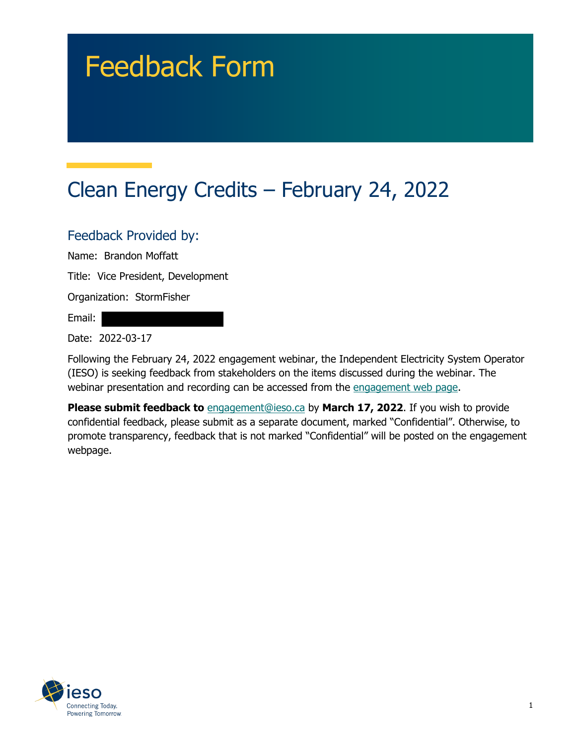# Feedback Form

# Clean Energy Credits – February 24, 2022

#### Feedback Provided by:

Name: Brandon Moffatt

Title: Vice President, Development

Organization: StormFisher

Email:

Date: 2022-03-17

Following the February 24, 2022 engagement webinar, the Independent Electricity System Operator (IESO) is seeking feedback from stakeholders on the items discussed during the webinar. The webinar presentation and recording can be accessed from the engagement web page.

**Please submit feedback to** engagement@ieso.ca by March 17, 2022. If you wish to provide confidential feedback, please submit as a separate document, marked "Confidential". Otherwise, to promote transparency, feedback that is not marked "Confidential" will be posted on the engagement webpage.

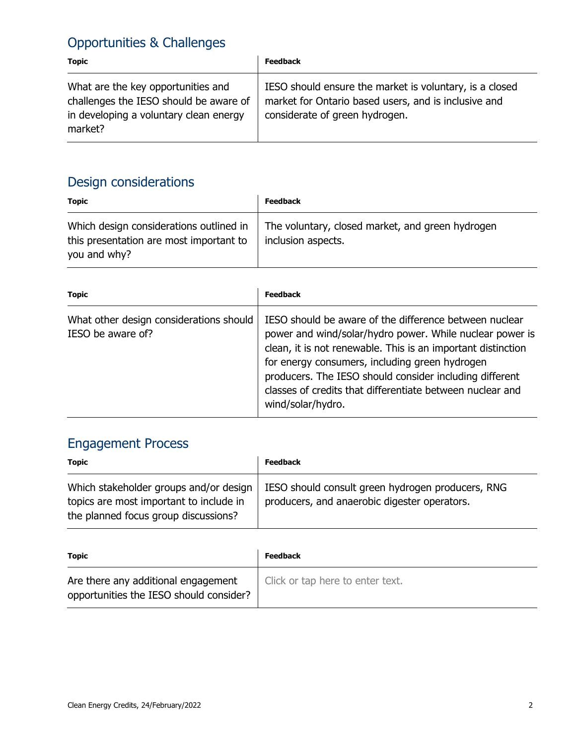### Opportunities & Challenges

| <b>Topic</b>                                                                                                                      | <b>Feedback</b>                                                                                                                                   |
|-----------------------------------------------------------------------------------------------------------------------------------|---------------------------------------------------------------------------------------------------------------------------------------------------|
| What are the key opportunities and<br>challenges the IESO should be aware of<br>in developing a voluntary clean energy<br>market? | IESO should ensure the market is voluntary, is a closed<br>market for Ontario based users, and is inclusive and<br>considerate of green hydrogen. |

### Design considerations

| <b>Topic</b>                                                                                       | <b>Feedback</b>                                                        |
|----------------------------------------------------------------------------------------------------|------------------------------------------------------------------------|
| Which design considerations outlined in<br>this presentation are most important to<br>you and why? | The voluntary, closed market, and green hydrogen<br>inclusion aspects. |

| <b>Topic</b>                                                 | <b>Feedback</b>                                                                                                                                                                                                                                                                                                                                                                   |
|--------------------------------------------------------------|-----------------------------------------------------------------------------------------------------------------------------------------------------------------------------------------------------------------------------------------------------------------------------------------------------------------------------------------------------------------------------------|
| What other design considerations should<br>IESO be aware of? | IESO should be aware of the difference between nuclear<br>power and wind/solar/hydro power. While nuclear power is<br>clean, it is not renewable. This is an important distinction<br>for energy consumers, including green hydrogen<br>producers. The IESO should consider including different<br>classes of credits that differentiate between nuclear and<br>wind/solar/hydro. |

## Engagement Process

| <b>Topic</b>                                                                                                              | <b>Feedback</b>                                                                                   |
|---------------------------------------------------------------------------------------------------------------------------|---------------------------------------------------------------------------------------------------|
| Which stakeholder groups and/or design<br>topics are most important to include in<br>the planned focus group discussions? | IESO should consult green hydrogen producers, RNG<br>producers, and anaerobic digester operators. |

| Topic                                                                          | <b>Feedback</b>                  |
|--------------------------------------------------------------------------------|----------------------------------|
| Are there any additional engagement<br>opportunities the IESO should consider? | Click or tap here to enter text. |